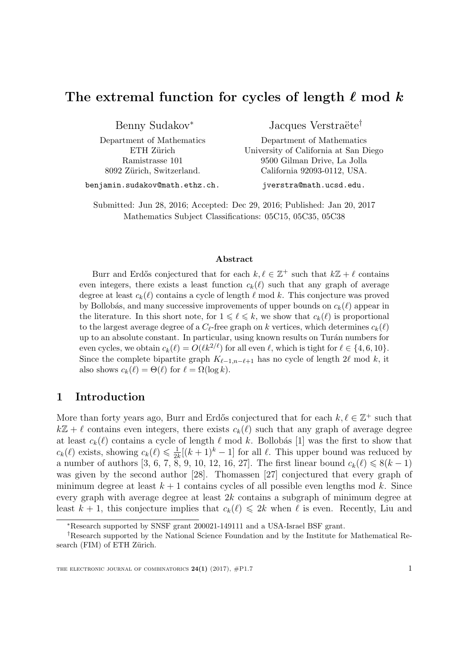# The extremal function for cycles of length  $\ell$  mod k

Benny Sudakov<sup>∗</sup>

Department of Mathematics ETH Zürich Ramistrasse 101 8092 Zürich, Switzerland.

Jacques Verstraëte<sup>†</sup>

Department of Mathematics University of California at San Diego 9500 Gilman Drive, La Jolla California 92093-0112, USA.

benjamin.sudakov@math.ethz.ch.

jverstra@math.ucsd.edu.

Submitted: Jun 28, 2016; Accepted: Dec 29, 2016; Published: Jan 20, 2017 Mathematics Subject Classifications: 05C15, 05C35, 05C38

#### Abstract

Burr and Erdős conjectured that for each  $k, \ell \in \mathbb{Z}^+$  such that  $k\mathbb{Z} + \ell$  contains even integers, there exists a least function  $c_k(\ell)$  such that any graph of average degree at least  $c_k(\ell)$  contains a cycle of length  $\ell$  mod k. This conjecture was proved by Bollobás, and many successive improvements of upper bounds on  $c_k(\ell)$  appear in the literature. In this short note, for  $1 \leq \ell \leq k$ , we show that  $c_k(\ell)$  is proportional to the largest average degree of a  $C_{\ell}$ -free graph on k vertices, which determines  $c_k(\ell)$ up to an absolute constant. In particular, using known results on Turán numbers for even cycles, we obtain  $c_k(\ell) = O(\ell k^{2/\ell})$  for all even  $\ell$ , which is tight for  $\ell \in \{4, 6, 10\}$ . Since the complete bipartite graph  $K_{\ell-1,n-\ell+1}$  has no cycle of length 2 $\ell$  mod k, it also shows  $c_k(\ell) = \Theta(\ell)$  for  $\ell = \Omega(\log k)$ .

# 1 Introduction

More than forty years ago, Burr and Erdős conjectured that for each  $k, \ell \in \mathbb{Z}^+$  such that  $k\mathbb{Z} + \ell$  contains even integers, there exists  $c_k(\ell)$  such that any graph of average degree at least  $c_k(\ell)$  contains a cycle of length  $\ell$  mod k. Bollobás [\[1\]](#page-6-0) was the first to show that  $c_k(\ell)$  exists, showing  $c_k(\ell) \leq \frac{1}{2l}$  $\frac{1}{2k}[(k+1)^k-1]$  for all  $\ell$ . This upper bound was reduced by a number of authors [\[3,](#page-6-1) [6,](#page-6-2) [7,](#page-6-3) [8,](#page-6-4) [9,](#page-6-5) [10,](#page-6-6) [12,](#page-6-7) [16,](#page-6-8) [27\]](#page-7-0). The first linear bound  $c_k(\ell) \leq 8(k-1)$ was given by the second author [\[28\]](#page-7-1). Thomassen [\[27\]](#page-7-0) conjectured that every graph of minimum degree at least  $k + 1$  contains cycles of all possible even lengths mod k. Since every graph with average degree at least 2k contains a subgraph of minimum degree at least  $k + 1$ , this conjecture implies that  $c_k(\ell) \leq 2k$  when  $\ell$  is even. Recently, Liu and

<sup>∗</sup>Research supported by SNSF grant 200021-149111 and a USA-Israel BSF grant.

<sup>†</sup>Research supported by the National Science Foundation and by the Institute for Mathematical Research (FIM) of ETH Zürich.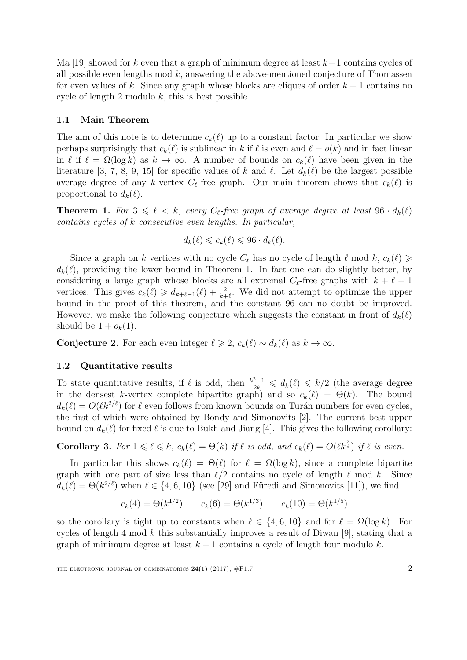Ma [\[19\]](#page-6-9) showed for k even that a graph of minimum degree at least  $k+1$  contains cycles of all possible even lengths mod  $k$ , answering the above-mentioned conjecture of Thomassen for even values of k. Since any graph whose blocks are cliques of order  $k + 1$  contains no cycle of length 2 modulo  $k$ , this is best possible.

### 1.1 Main Theorem

The aim of this note is to determine  $c_k(\ell)$  up to a constant factor. In particular we show perhaps surprisingly that  $c_k(\ell)$  is sublinear in k if  $\ell$  is even and  $\ell = o(k)$  and in fact linear in  $\ell$  if  $\ell = \Omega(\log k)$  as  $k \to \infty$ . A number of bounds on  $c_k(\ell)$  have been given in the literature [\[3,](#page-6-1) [7,](#page-6-3) [8,](#page-6-4) [9,](#page-6-5) [15\]](#page-6-10) for specific values of k and  $\ell$ . Let  $d_k(\ell)$  be the largest possible average degree of any k-vertex  $C_{\ell}$ -free graph. Our main theorem shows that  $c_k(\ell)$  is proportional to  $d_k(\ell)$ .

<span id="page-1-0"></span>**Theorem 1.** For  $3 \leq \ell \leq k$ , every  $C_{\ell}$ -free graph of average degree at least  $96 \cdot d_k(\ell)$ contains cycles of k consecutive even lengths. In particular,

$$
d_k(\ell) \leq c_k(\ell) \leq 96 \cdot d_k(\ell).
$$

Since a graph on k vertices with no cycle  $C_{\ell}$  has no cycle of length  $\ell$  mod k,  $c_k(\ell) \geq$  $d_k(\ell)$ , providing the lower bound in Theorem [1.](#page-1-0) In fact one can do slightly better, by considering a large graph whose blocks are all extremal  $C_{\ell}$ -free graphs with  $k + \ell - 1$ vertices. This gives  $c_k(\ell) \geq d_{k+\ell-1}(\ell) + \frac{2}{k+\ell}$ . We did not attempt to optimize the upper bound in the proof of this theorem, and the constant 96 can no doubt be improved. However, we make the following conjecture which suggests the constant in front of  $d_k(\ell)$ should be  $1 + o_k(1)$ .

<span id="page-1-1"></span>Conjecture 2. For each even integer  $\ell \geq 2$ ,  $c_k(\ell) \sim d_k(\ell)$  as  $k \to \infty$ .

### 1.2 Quantitative results

To state quantitative results, if  $\ell$  is odd, then  $\frac{k^2-1}{2k} \leq d_k(\ell) \leq k/2$  (the average degree in the densest k-vertex complete bipartite graph) and so  $c_k(\ell) = \Theta(k)$ . The bound  $d_k(\ell) = O(\ell k^{2/\ell})$  for  $\ell$  even follows from known bounds on Turán numbers for even cycles, the first of which were obtained by Bondy and Simonovits [\[2\]](#page-6-11). The current best upper bound on  $d_k(\ell)$  for fixed  $\ell$  is due to Bukh and Jiang [\[4\]](#page-6-12). This gives the following corollary:

**Corollary 3.** For  $1 \leq \ell \leq k$ ,  $c_k(\ell) = \Theta(k)$  if  $\ell$  is odd, and  $c_k(\ell) = O(\ell k^{\frac{2}{\ell}})$  if  $\ell$  is even.

In particular this shows  $c_k(\ell) = \Theta(\ell)$  for  $\ell = \Omega(\log k)$ , since a complete bipartite graph with one part of size less than  $\ell/2$  contains no cycle of length  $\ell$  mod k. Since  $d_k(\ell) = \Theta(k^{2/\ell})$  when  $\ell \in \{4, 6, 10\}$  (see [\[29\]](#page-7-2) and Füredi and Simonovits [\[11\]](#page-6-13)), we find

$$
c_k(4) = \Theta(k^{1/2}) \qquad c_k(6) = \Theta(k^{1/3}) \qquad c_k(10) = \Theta(k^{1/5})
$$

so the corollary is tight up to constants when  $\ell \in \{4, 6, 10\}$  and for  $\ell = \Omega(\log k)$ . For cycles of length 4 mod k this substantially improves a result of Diwan [\[9\]](#page-6-5), stating that a graph of minimum degree at least  $k + 1$  contains a cycle of length four modulo k.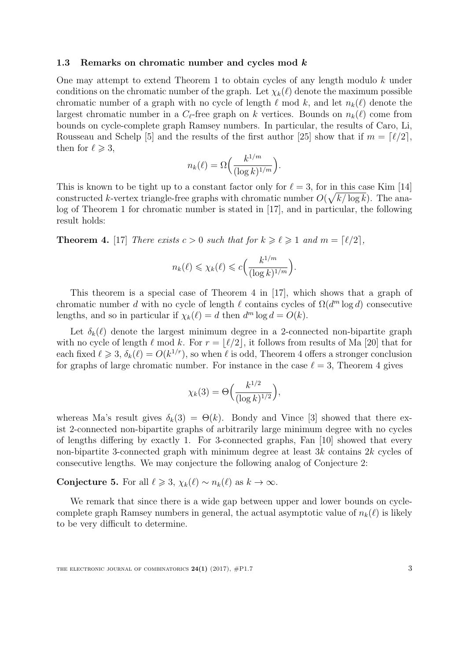#### 1.3 Remarks on chromatic number and cycles mod k

One may attempt to extend Theorem [1](#page-1-0) to obtain cycles of any length modulo k under conditions on the chromatic number of the graph. Let  $\chi_k(\ell)$  denote the maximum possible chromatic number of a graph with no cycle of length  $\ell$  mod k, and let  $n_k(\ell)$  denote the largest chromatic number in a  $C_{\ell}$ -free graph on k vertices. Bounds on  $n_k(\ell)$  come from bounds on cycle-complete graph Ramsey numbers. In particular, the results of Caro, Li, Rousseau and Schelp [\[5\]](#page-6-14) and the results of the first author [\[25\]](#page-7-3) show that if  $m = \lceil \ell/2 \rceil$ , then for  $\ell \geqslant 3$ ,

$$
n_k(\ell) = \Omega\left(\frac{k^{1/m}}{(\log k)^{1/m}}\right).
$$

This is known to be tight up to a constant factor only for  $\ell = 3$ , for in this case Kim [\[14\]](#page-6-15) constructed k-vertex triangle-free graphs with chromatic number  $O(\sqrt{k/\log k})$ . The analog of Theorem [1](#page-1-0) for chromatic number is stated in [\[17\]](#page-6-16), and in particular, the following result holds:

<span id="page-2-0"></span>**Theorem 4.** [\[17\]](#page-6-16) There exists  $c > 0$  such that for  $k \geq \ell \geq 1$  and  $m = \lceil \ell/2 \rceil$ ,

$$
n_k(\ell) \le \chi_k(\ell) \le c \Big(\frac{k^{1/m}}{(\log k)^{1/m}}\Big).
$$

This theorem is a special case of Theorem 4 in [\[17\]](#page-6-16), which shows that a graph of chromatic number d with no cycle of length  $\ell$  contains cycles of  $\Omega(d^m \log d)$  consecutive lengths, and so in particular if  $\chi_k(\ell) = d$  then  $d^m \log d = O(k)$ .

Let  $\delta_k(\ell)$  denote the largest minimum degree in a 2-connected non-bipartite graph with no cycle of length  $\ell$  mod k. For  $r = |\ell/2|$ , it follows from results of Ma [\[20\]](#page-6-17) that for each fixed  $\ell \geq 3$ ,  $\delta_k(\ell) = O(k^{1/r})$ , so when  $\ell$  is odd, Theorem [4](#page-2-0) offers a stronger conclusion for graphs of large chromatic number. For instance in the case  $\ell = 3$ , Theorem [4](#page-2-0) gives

$$
\chi_k(3) = \Theta\Big(\frac{k^{1/2}}{(\log k)^{1/2}}\Big),\,
$$

whereas Ma's result gives  $\delta_k(3) = \Theta(k)$ . Bondy and Vince [\[3\]](#page-6-1) showed that there exist 2-connected non-bipartite graphs of arbitrarily large minimum degree with no cycles of lengths differing by exactly 1. For 3-connected graphs, Fan [\[10\]](#page-6-6) showed that every non-bipartite 3-connected graph with minimum degree at least 3k contains 2k cycles of consecutive lengths. We may conjecture the following analog of Conjecture [2:](#page-1-1)

# Conjecture 5. For all  $\ell \geq 3$ ,  $\chi_k(\ell) \sim n_k(\ell)$  as  $k \to \infty$ .

We remark that since there is a wide gap between upper and lower bounds on cyclecomplete graph Ramsey numbers in general, the actual asymptotic value of  $n_k(\ell)$  is likely to be very difficult to determine.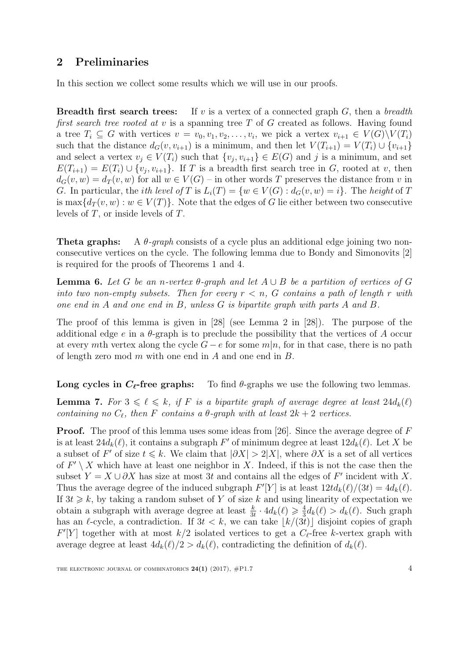# 2 Preliminaries

In this section we collect some results which we will use in our proofs.

**Breadth first search trees:** If v is a vertex of a connected graph  $G$ , then a breadth first search tree rooted at  $v$  is a spanning tree  $T$  of  $G$  created as follows. Having found a tree  $T_i \subseteq G$  with vertices  $v = v_0, v_1, v_2, \ldots, v_i$ , we pick a vertex  $v_{i+1} \in V(G) \backslash V(T_i)$ such that the distance  $d_G(v, v_{i+1})$  is a minimum, and then let  $V(T_{i+1}) = V(T_i) \cup \{v_{i+1}\}\$ and select a vertex  $v_j \in V(T_i)$  such that  $\{v_j, v_{i+1}\} \in E(G)$  and j is a minimum, and set  $E(T_{i+1}) = E(T_i) \cup \{v_j, v_{i+1}\}.$  If T is a breadth first search tree in G, rooted at v, then  $d_G(v, w) = d_T(v, w)$  for all  $w \in V(G)$  – in other words T preserves the distance from v in G. In particular, the *i*th level of T is  $L_i(T) = \{w \in V(G) : d_G(v, w) = i\}$ . The height of T is max $\{d_T(v, w): w \in V(T)\}\$ . Note that the edges of G lie either between two consecutive levels of T, or inside levels of T.

**Theta graphs:** A  $\theta$ -graph consists of a cycle plus an additional edge joining two nonconsecutive vertices on the cycle. The following lemma due to Bondy and Simonovits [\[2\]](#page-6-11) is required for the proofs of Theorems [1](#page-1-0) and [4.](#page-2-0)

<span id="page-3-1"></span>**Lemma 6.** Let G be an n-vertex  $\theta$ -graph and let  $A \cup B$  be a partition of vertices of G into two non-empty subsets. Then for every  $r < n$ , G contains a path of length r with one end in A and one end in B, unless G is bipartite graph with parts A and B.

The proof of this lemma is given in [\[28\]](#page-7-1) (see Lemma 2 in [\[28\]](#page-7-1)). The purpose of the additional edge e in a  $\theta$ -graph is to preclude the possibility that the vertices of A occur at every mth vertex along the cycle  $G - e$  for some  $m|n$ , for in that case, there is no path of length zero mod  $m$  with one end in  $A$  and one end in  $B$ .

Long cycles in  $C_{\ell}$ -free graphs: To find  $\theta$ -graphs we use the following two lemmas.

<span id="page-3-0"></span>**Lemma 7.** For  $3 \leq \ell \leq k$ , if F is a bipartite graph of average degree at least  $24d_k(\ell)$ containing no  $C_{\ell}$ , then F contains a  $\theta$ -graph with at least  $2k + 2$  vertices.

**Proof.** The proof of this lemma uses some ideas from [\[26\]](#page-7-4). Since the average degree of F is at least  $24d_k(\ell)$ , it contains a subgraph F' of minimum degree at least  $12d_k(\ell)$ . Let X be a subset of F' of size  $t \leq k$ . We claim that  $|\partial X| > 2|X|$ , where  $\partial X$  is a set of all vertices of  $F' \setminus X$  which have at least one neighbor in X. Indeed, if this is not the case then the subset  $Y = X \cup \partial X$  has size at most 3t and contains all the edges of F' incident with X. Thus the average degree of the induced subgraph  $F'[Y]$  is at least  $12td_k(\ell)/(3t) = 4d_k(\ell)$ . If  $3t \geq k$ , by taking a random subset of Y of size k and using linearity of expectation we obtain a subgraph with average degree at least  $\frac{k}{3t} \cdot 4d_k(\ell) \geq \frac{4}{3}$  $\frac{4}{3}d_k(\ell) > d_k(\ell)$ . Such graph has an  $\ell$ -cycle, a contradiction. If  $3t < k$ , we can take  $|k/(3t)|$  disjoint copies of graph  $F'[Y]$  together with at most  $k/2$  isolated vertices to get a  $C_{\ell}$ -free k-vertex graph with average degree at least  $4d_k(\ell)/2 > d_k(\ell)$ , contradicting the definition of  $d_k(\ell)$ .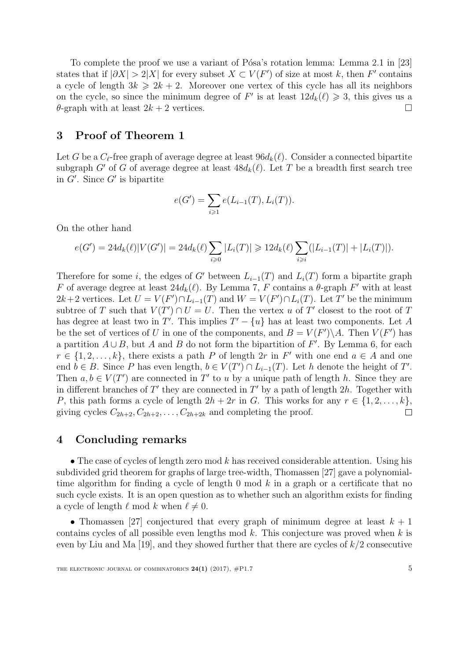To complete the proof we use a variant of Pósa's rotation lemma: Lemma 2.1 in [\[23\]](#page-7-5) states that if  $|\partial X| > 2|X|$  for every subset  $X \subset V(F')$  of size at most k, then F' contains a cycle of length  $3k \geq 2k + 2$ . Moreover one vertex of this cycle has all its neighbors on the cycle, so since the minimum degree of F' is at least  $12d_k(\ell) \geq 3$ , this gives us a  $\theta$ -graph with at least  $2k + 2$  vertices.

## 3 Proof of Theorem [1](#page-1-0)

Let G be a  $C_{\ell}$ -free graph of average degree at least  $96d_k(\ell)$ . Consider a connected bipartite subgraph G' of G of average degree at least  $48d_k(\ell)$ . Let T be a breadth first search tree in  $G'$ . Since  $G'$  is bipartite

$$
e(G') = \sum_{i \geq 1} e(L_{i-1}(T), L_i(T)).
$$

On the other hand

$$
e(G') = 24d_k(\ell)|V(G')| = 24d_k(\ell)\sum_{i \geq 0} |L_i(T)| \geq 12d_k(\ell)\sum_{i \geq i} (|L_{i-1}(T)| + |L_i(T)|).
$$

Therefore for some i, the edges of G' between  $L_{i-1}(T)$  and  $L_i(T)$  form a bipartite graph F of average degree at least  $24d_k(\ell)$ . By Lemma [7,](#page-3-0) F contains a  $\theta$ -graph F' with at least  $2k+2$  vertices. Let  $U = V(F') \cap L_{i-1}(T)$  and  $W = V(F') \cap L_i(T)$ . Let T' be the minimum subtree of T such that  $V(T') \cap U = U$ . Then the vertex u of T' closest to the root of T has degree at least two in T'. This implies  $T' - \{u\}$  has at least two components. Let A be the set of vertices of U in one of the components, and  $B = V(F')\A$ . Then  $V(F')$  has a partition  $A \cup B$ , but A and B do not form the bipartition of F'. By Lemma [6,](#page-3-1) for each  $r \in \{1, 2, \ldots, k\}$ , there exists a path P of length  $2r$  in F' with one end  $a \in A$  and one end  $b \in B$ . Since P has even length,  $b \in V(T') \cap L_{i-1}(T)$ . Let h denote the height of T'. Then  $a, b \in V(T')$  are connected in T' to u by a unique path of length h. Since they are in different branches of  $T'$  they are connected in  $T'$  by a path of length 2h. Together with P, this path forms a cycle of length  $2h + 2r$  in G. This works for any  $r \in \{1, 2, ..., k\}$ , giving cycles  $C_{2h+2}, C_{2h+2}, \ldots, C_{2h+2k}$  and completing the proof.  $\Box$ 

### 4 Concluding remarks

• The case of cycles of length zero mod  $k$  has received considerable attention. Using his subdivided grid theorem for graphs of large tree-width, Thomassen [\[27\]](#page-7-0) gave a polynomialtime algorithm for finding a cycle of length 0 mod  $k$  in a graph or a certificate that no such cycle exists. It is an open question as to whether such an algorithm exists for finding a cycle of length  $\ell$  mod k when  $\ell \neq 0$ .

• Thomassen [\[27\]](#page-7-0) conjectured that every graph of minimum degree at least  $k + 1$ contains cycles of all possible even lengths mod  $k$ . This conjecture was proved when  $k$  is even by Liu and Ma  $[19]$ , and they showed further that there are cycles of  $k/2$  consecutive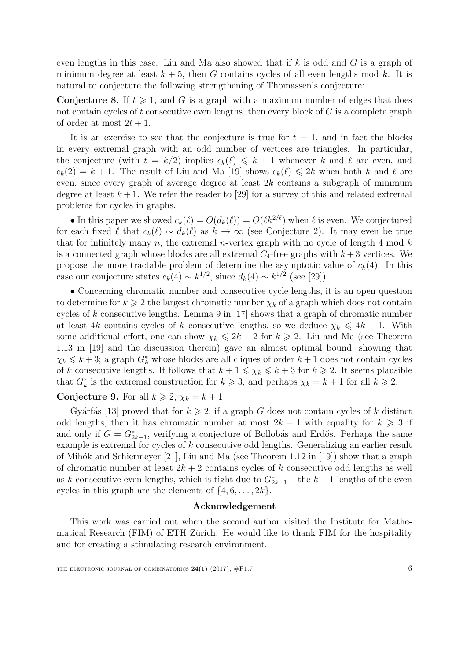even lengths in this case. Liu and Ma also showed that if  $k$  is odd and  $G$  is a graph of minimum degree at least  $k + 5$ , then G contains cycles of all even lengths mod k. It is natural to conjecture the following strengthening of Thomassen's conjecture:

**Conjecture 8.** If  $t \ge 1$ , and G is a graph with a maximum number of edges that does not contain cycles of t consecutive even lengths, then every block of  $G$  is a complete graph of order at most  $2t + 1$ .

It is an exercise to see that the conjecture is true for  $t = 1$ , and in fact the blocks in every extremal graph with an odd number of vertices are triangles. In particular, the conjecture (with  $t = k/2$ ) implies  $c_k(\ell) \leq k + 1$  whenever k and  $\ell$  are even, and  $c_k(2) = k + 1$ . The result of Liu and Ma [\[19\]](#page-6-9) shows  $c_k(\ell) \leq 2k$  when both k and  $\ell$  are even, since every graph of average degree at least  $2k$  contains a subgraph of minimum degree at least  $k+1$ . We refer the reader to [\[29\]](#page-7-2) for a survey of this and related extremal problems for cycles in graphs.

• In this paper we showed  $c_k(\ell) = O(d_k(\ell)) = O(\ell k^{2/\ell})$  when  $\ell$  is even. We conjectured for each fixed  $\ell$  that  $c_k(\ell) \sim d_k(\ell)$  as  $k \to \infty$  (see Conjecture [2\)](#page-1-1). It may even be true that for infinitely many  $n$ , the extremal *n*-vertex graph with no cycle of length 4 mod  $k$ is a connected graph whose blocks are all extremal  $C_4$ -free graphs with  $k+3$  vertices. We propose the more tractable problem of determine the asymptotic value of  $c_k(4)$ . In this case our conjecture states  $c_k(4) \sim k^{1/2}$ , since  $d_k(4) \sim k^{1/2}$  (see [\[29\]](#page-7-2)).

• Concerning chromatic number and consecutive cycle lengths, it is an open question to determine for  $k \geq 2$  the largest chromatic number  $\chi_k$  of a graph which does not contain cycles of k consecutive lengths. Lemma 9 in [\[17\]](#page-6-16) shows that a graph of chromatic number at least 4k contains cycles of k consecutive lengths, so we deduce  $\chi_k \leq 4k - 1$ . With some additional effort, one can show  $\chi_k \leq 2k + 2$  for  $k \geq 2$ . Liu and Ma (see Theorem 1.13 in [\[19\]](#page-6-9) and the discussion therein) gave an almost optimal bound, showing that  $\chi_k \leq k+3$ ; a graph  $G_k^*$  whose blocks are all cliques of order  $k+1$  does not contain cycles of k consecutive lengths. It follows that  $k + 1 \le \chi_k \le k + 3$  for  $k \ge 2$ . It seems plausible that  $G_k^*$  is the extremal construction for  $k \geq 3$ , and perhaps  $\chi_k = k + 1$  for all  $k \geq 2$ :

#### **Conjecture 9.** For all  $k \ge 2$ ,  $\chi_k = k + 1$ .

Gyárfás [\[13\]](#page-6-18) proved that for  $k \ge 2$ , if a graph G does not contain cycles of k distinct odd lengths, then it has chromatic number at most  $2k - 1$  with equality for  $k \geq 3$  if and only if  $G = G^*_{2k-1}$ , verifying a conjecture of Bollobás and Erdős. Perhaps the same example is extremal for cycles of k consecutive odd lengths. Generalizing an earlier result of Mihók and Schiermeyer [\[21\]](#page-7-6), Liu and Ma (see Theorem 1.12 in [\[19\]](#page-6-9)) show that a graph of chromatic number at least  $2k + 2$  contains cycles of k consecutive odd lengths as well as k consecutive even lengths, which is tight due to  $G_{2k+1}^*$  – the  $k-1$  lengths of the even cycles in this graph are the elements of  $\{4, 6, \ldots, 2k\}$ .

#### Acknowledgement

This work was carried out when the second author visited the Institute for Mathematical Research (FIM) of ETH Zürich. He would like to thank FIM for the hospitality and for creating a stimulating research environment.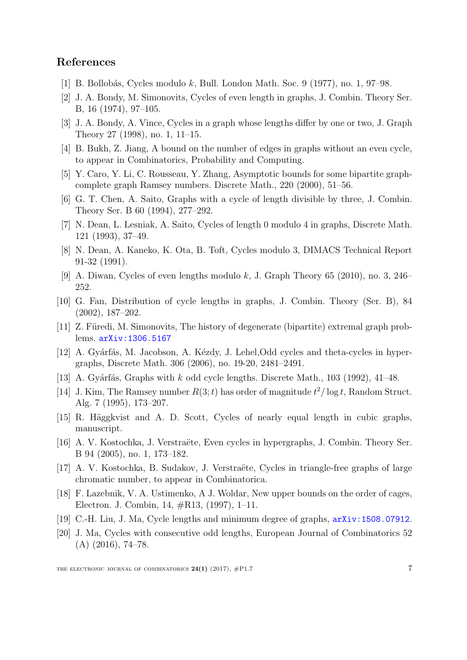### References

- <span id="page-6-0"></span>[1] B. Bollobás, Cycles modulo k, Bull. London Math. Soc. 9 (1977), no. 1, 97–98.
- <span id="page-6-11"></span>[2] J. A. Bondy, M. Simonovits, Cycles of even length in graphs, J. Combin. Theory Ser. B, 16 (1974), 97–105.
- <span id="page-6-1"></span>[3] J. A. Bondy, A. Vince, Cycles in a graph whose lengths differ by one or two, J. Graph Theory 27 (1998), no. 1, 11–15.
- <span id="page-6-12"></span>[4] B. Bukh, Z. Jiang, A bound on the number of edges in graphs without an even cycle, to appear in Combinatorics, Probability and Computing.
- <span id="page-6-14"></span>[5] Y. Caro, Y. Li, C. Rousseau, Y. Zhang, Asymptotic bounds for some bipartite graphcomplete graph Ramsey numbers. Discrete Math., 220 (2000), 51–56.
- <span id="page-6-2"></span>[6] G. T. Chen, A. Saito, Graphs with a cycle of length divisible by three, J. Combin. Theory Ser. B 60 (1994), 277–292.
- <span id="page-6-3"></span>[7] N. Dean, L. Lesniak, A. Saito, Cycles of length 0 modulo 4 in graphs, Discrete Math. 121 (1993), 37–49.
- <span id="page-6-4"></span>[8] N. Dean, A. Kaneko, K. Ota, B. Toft, Cycles modulo 3, DIMACS Technical Report 91-32 (1991).
- <span id="page-6-5"></span>[9] A. Diwan, Cycles of even lengths modulo k, J. Graph Theory 65 (2010), no. 3, 246– 252.
- <span id="page-6-6"></span>[10] G. Fan, Distribution of cycle lengths in graphs, J. Combin. Theory (Ser. B), 84 (2002), 187–202.
- <span id="page-6-13"></span>[11] Z. Füredi, M. Simonovits, The history of degenerate (bipartite) extremal graph problems. [arXiv:1306.5167](http://arxiv.org/abs/1306.5167)
- <span id="page-6-7"></span>[12] A. Gyárfás, M. Jacobson, A. Kézdy, J. Lehel,Odd cycles and theta-cycles in hypergraphs, Discrete Math. 306 (2006), no. 19-20, 2481–2491.
- <span id="page-6-18"></span>[13] A. Gyárfás, Graphs with k odd cycle lengths. Discrete Math.,  $103$  (1992),  $41-48$ .
- <span id="page-6-15"></span>[14] J. Kim, The Ramsey number  $R(3; t)$  has order of magnitude  $t^2/\log t$ , Random Struct. Alg. 7 (1995), 173–207.
- <span id="page-6-10"></span>[15] R. Häggkvist and A. D. Scott, Cycles of nearly equal length in cubic graphs, manuscript.
- <span id="page-6-8"></span>[16] A. V. Kostochka, J. Verstraëte, Even cycles in hypergraphs, J. Combin. Theory Ser. B 94 (2005), no. 1, 173–182.
- <span id="page-6-16"></span>[17] A. V. Kostochka, B. Sudakov, J. Verstraëte, Cycles in triangle-free graphs of large chromatic number, to appear in Combinatorica.
- [18] F. Lazebnik, V. A. Ustimenko, A J. Woldar, New upper bounds on the order of cages, Electron. J. Combin, 14, #R13, (1997), 1–11.
- <span id="page-6-9"></span>[19] C.-H. Liu, J. Ma, Cycle lengths and minimum degree of graphs, [arXiv:1508.07912](http://arxiv.org/abs/1508.07912).
- <span id="page-6-17"></span>[20] J. Ma, Cycles with consecutive odd lengths, European Journal of Combinatorics 52  $(A)$  (2016), 74–78.